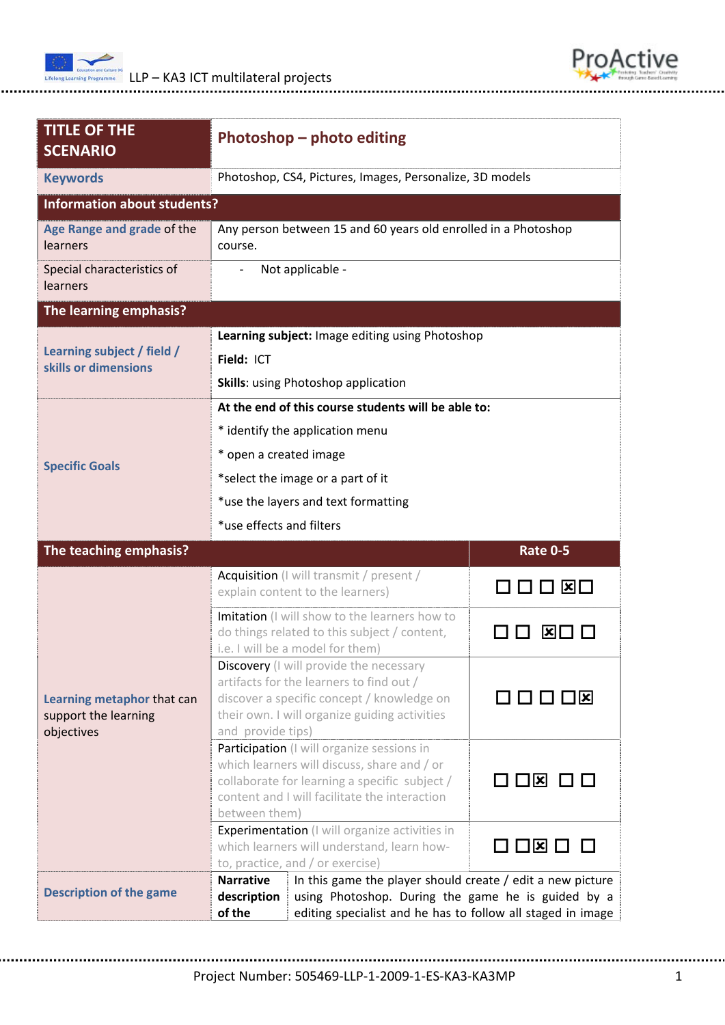



| <b>TITLE OF THE</b><br><b>SCENARIO</b>             | Photoshop - photo editing                                                                                                                           |                                                             |                                         |  |
|----------------------------------------------------|-----------------------------------------------------------------------------------------------------------------------------------------------------|-------------------------------------------------------------|-----------------------------------------|--|
| <b>Keywords</b>                                    |                                                                                                                                                     | Photoshop, CS4, Pictures, Images, Personalize, 3D models    |                                         |  |
| <b>Information about students?</b>                 |                                                                                                                                                     |                                                             |                                         |  |
| Age Range and grade of the<br>learners             | Any person between 15 and 60 years old enrolled in a Photoshop<br>course.                                                                           |                                                             |                                         |  |
| Special characteristics of<br>learners             | Not applicable -                                                                                                                                    |                                                             |                                         |  |
| The learning emphasis?                             |                                                                                                                                                     |                                                             |                                         |  |
|                                                    |                                                                                                                                                     | Learning subject: Image editing using Photoshop             |                                         |  |
| Learning subject / field /<br>skills or dimensions | Field: ICT                                                                                                                                          |                                                             |                                         |  |
|                                                    | <b>Skills:</b> using Photoshop application                                                                                                          |                                                             |                                         |  |
|                                                    | At the end of this course students will be able to:                                                                                                 |                                                             |                                         |  |
|                                                    | * identify the application menu                                                                                                                     |                                                             |                                         |  |
|                                                    | * open a created image                                                                                                                              |                                                             |                                         |  |
| <b>Specific Goals</b>                              | *select the image or a part of it                                                                                                                   |                                                             |                                         |  |
|                                                    | *use the layers and text formatting                                                                                                                 |                                                             |                                         |  |
|                                                    | *use effects and filters                                                                                                                            |                                                             |                                         |  |
| The teaching emphasis?                             |                                                                                                                                                     |                                                             | <b>Rate 0-5</b>                         |  |
|                                                    |                                                                                                                                                     | Acquisition (I will transmit / present /                    |                                         |  |
|                                                    | explain content to the learners)                                                                                                                    |                                                             | $\square$ $\square$ $\square$ $\square$ |  |
|                                                    | Imitation (I will show to the learners how to<br>do things related to this subject / content,                                                       |                                                             | X                                       |  |
|                                                    | i.e. I will be a model for them)                                                                                                                    |                                                             |                                         |  |
|                                                    | Discovery (I will provide the necessary<br>artifacts for the learners to find out /                                                                 |                                                             |                                         |  |
| Learning metaphor that can                         | discover a specific concept / knowledge on                                                                                                          |                                                             | □□□□⊠                                   |  |
| support the learning                               | their own. I will organize guiding activities                                                                                                       |                                                             |                                         |  |
| objectives                                         | and provide tips)<br>Participation (I will organize sessions in                                                                                     |                                                             |                                         |  |
|                                                    | which learners will discuss, share and / or                                                                                                         |                                                             |                                         |  |
|                                                    | collaborate for learning a specific subject /                                                                                                       |                                                             | O D ⊠ D D                               |  |
|                                                    | content and I will facilitate the interaction<br>between them)                                                                                      |                                                             |                                         |  |
|                                                    | Experimentation (I will organize activities in                                                                                                      |                                                             | コ¤ □                                    |  |
|                                                    | which learners will understand, learn how-                                                                                                          |                                                             |                                         |  |
|                                                    |                                                                                                                                                     | to, practice, and / or exercise)                            |                                         |  |
| <b>Description of the game</b>                     | <b>Narrative</b><br>In this game the player should create / edit a new picture<br>using Photoshop. During the game he is guided by a<br>description |                                                             |                                         |  |
|                                                    | of the                                                                                                                                              | editing specialist and he has to follow all staged in image |                                         |  |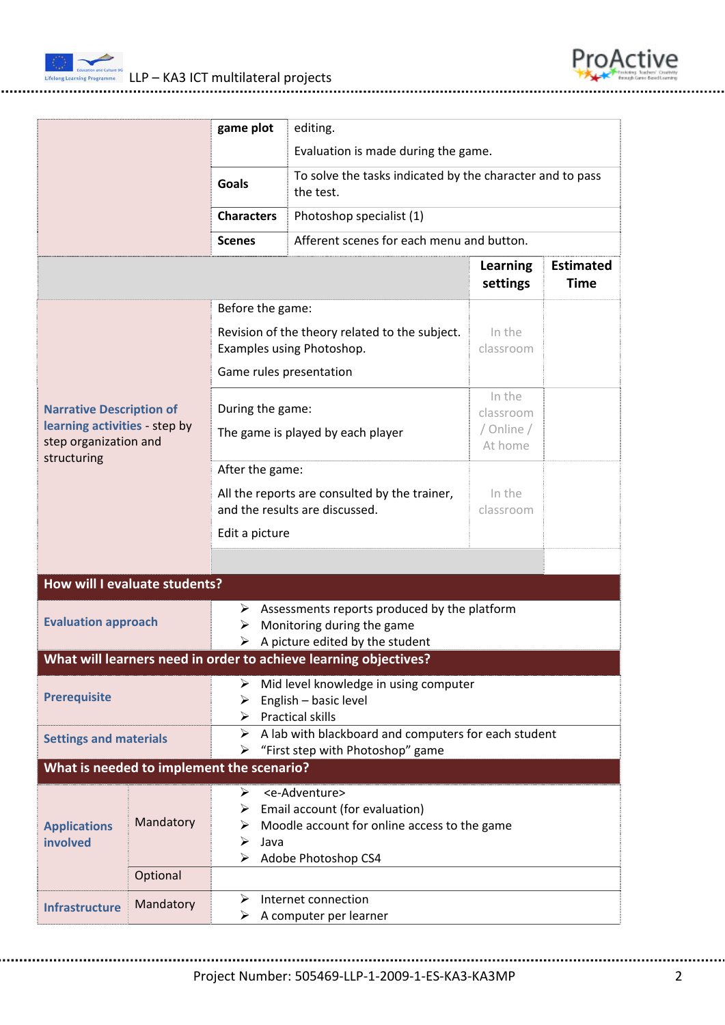

LLP – KA3 ICT multilateral projects



| LLI KAJ ICI multilateral projects |  |  |  |
|-----------------------------------|--|--|--|
|                                   |  |  |  |

|                                                                                                          |           | game plot                                                                                                                                                                      | editing.                                                                                                      |                                              |                                 |  |
|----------------------------------------------------------------------------------------------------------|-----------|--------------------------------------------------------------------------------------------------------------------------------------------------------------------------------|---------------------------------------------------------------------------------------------------------------|----------------------------------------------|---------------------------------|--|
|                                                                                                          |           |                                                                                                                                                                                | Evaluation is made during the game.                                                                           |                                              |                                 |  |
|                                                                                                          |           | <b>Goals</b>                                                                                                                                                                   | To solve the tasks indicated by the character and to pass<br>the test.                                        |                                              |                                 |  |
|                                                                                                          |           | <b>Characters</b>                                                                                                                                                              | Photoshop specialist (1)                                                                                      |                                              |                                 |  |
|                                                                                                          |           | <b>Scenes</b>                                                                                                                                                                  | Afferent scenes for each menu and button.                                                                     |                                              |                                 |  |
|                                                                                                          |           |                                                                                                                                                                                |                                                                                                               | <b>Learning</b><br>settings                  | <b>Estimated</b><br><b>Time</b> |  |
|                                                                                                          |           | Before the game:                                                                                                                                                               |                                                                                                               |                                              |                                 |  |
|                                                                                                          |           | Revision of the theory related to the subject.<br>Examples using Photoshop.                                                                                                    |                                                                                                               | In the<br>classroom                          |                                 |  |
|                                                                                                          |           | Game rules presentation                                                                                                                                                        |                                                                                                               |                                              |                                 |  |
| <b>Narrative Description of</b><br>learning activities - step by<br>step organization and<br>structuring |           | During the game:<br>The game is played by each player                                                                                                                          |                                                                                                               | In the<br>classroom<br>/ Online /<br>At home |                                 |  |
|                                                                                                          |           | After the game:                                                                                                                                                                |                                                                                                               |                                              |                                 |  |
|                                                                                                          |           | All the reports are consulted by the trainer,<br>and the results are discussed.                                                                                                |                                                                                                               | In the<br>classroom                          |                                 |  |
|                                                                                                          |           | Edit a picture                                                                                                                                                                 |                                                                                                               |                                              |                                 |  |
|                                                                                                          |           |                                                                                                                                                                                |                                                                                                               |                                              |                                 |  |
| How will I evaluate students?                                                                            |           |                                                                                                                                                                                |                                                                                                               |                                              |                                 |  |
| <b>Evaluation approach</b>                                                                               |           | ➤<br>➤<br>➤                                                                                                                                                                    | Assessments reports produced by the platform<br>Monitoring during the game<br>A picture edited by the student |                                              |                                 |  |
|                                                                                                          |           |                                                                                                                                                                                | What will learners need in order to achieve learning objectives?                                              |                                              |                                 |  |
| <b>Prerequisite</b>                                                                                      |           | Mid level knowledge in using computer<br>English - basic level<br>➤<br><b>Practical skills</b>                                                                                 |                                                                                                               |                                              |                                 |  |
| <b>Settings and materials</b>                                                                            |           | A lab with blackboard and computers for each student<br>➤<br>"First step with Photoshop" game<br>➤                                                                             |                                                                                                               |                                              |                                 |  |
| What is needed to implement the scenario?                                                                |           |                                                                                                                                                                                |                                                                                                               |                                              |                                 |  |
| <b>Applications</b><br>involved                                                                          | Mandatory | <e-adventure><br/>➤<br/>Email account (for evaluation)<br/>➤<br/>Moodle account for online access to the game<br/>➤<br/>➤<br/>Java<br/>Adobe Photoshop CS4<br/>⋗</e-adventure> |                                                                                                               |                                              |                                 |  |
|                                                                                                          | Optional  |                                                                                                                                                                                |                                                                                                               |                                              |                                 |  |
| <b>Infrastructure</b>                                                                                    | Mandatory | Internet connection<br>➤<br>A computer per learner<br>➤                                                                                                                        |                                                                                                               |                                              |                                 |  |